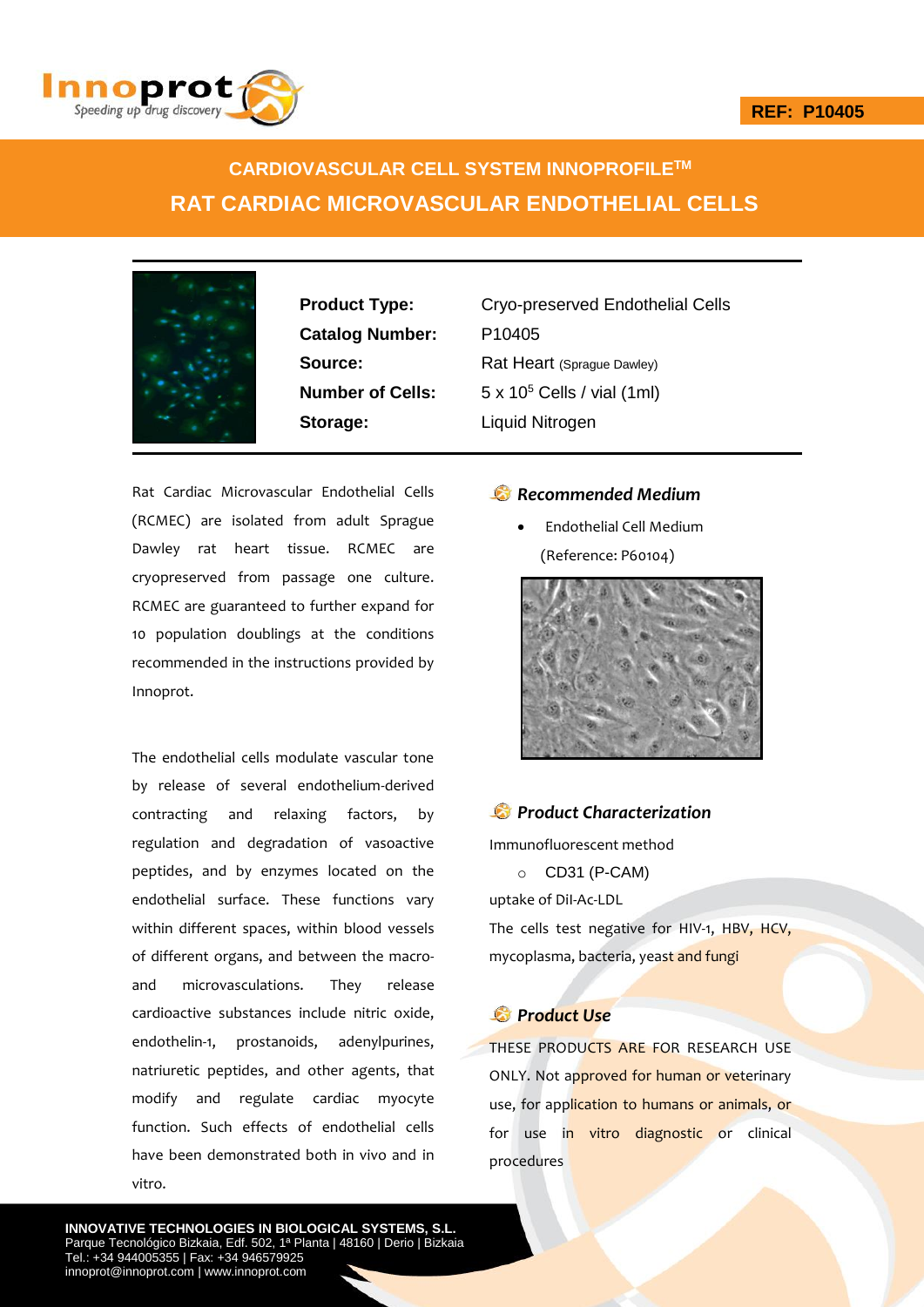

# **CARDIOVASCULAR CELL SYSTEM INNOPROFILETM RAT CARDIAC MICROVASCULAR ENDOTHELIAL CELLS**



**Catalog Number:** P10405 **Storage:** Liquid Nitrogen

**Product Type:** Cryo-preserved Endothelial Cells **Source:** Rat Heart (Sprague Dawley) **Number of Cells:** 5 x 10<sup>5</sup> Cells / vial (1ml)

Rat Cardiac Microvascular Endothelial Cells (RCMEC) are isolated from adult Sprague Dawley rat heart tissue. RCMEC are cryopreserved from passage one culture. RCMEC are guaranteed to further expand for 10 population doublings at the conditions recommended in the instructions provided by Innoprot.

The endothelial cells modulate vascular tone by release of several endothelium-derived contracting and relaxing factors, by regulation and degradation of vasoactive peptides, and by enzymes located on the endothelial surface. These functions vary within different spaces, within blood vessels of different organs, and between the macroand microvasculations. They release cardioactive substances include nitric oxide, endothelin-1, prostanoids, adenylpurines, natriuretic peptides, and other agents, that modify and regulate cardiac myocyte function. Such effects of endothelial cells have been demonstrated both in vivo and in vitro.

### *Recommended Medium*

 Endothelial Cell Medium (Reference: P60104)



## *Product Characterization*

Immunofluorescent method

o CD31 (P-CAM)

uptake of DiI-Ac-LDL

The cells test negative for HIV-1, HBV, HCV, mycoplasma, bacteria, yeast and fungi

### *Product Use*

THESE PRODUCTS ARE FOR RESEARCH USE ONLY. Not approved for human or veterinary use, for application to humans or animals, or for use in vitro diagnostic or clinical procedures

**INNOVATIVE TECHNOLOGIES IN BIOLOGICAL SYSTEMS, S.L.** Parque Tecnológico Bizkaia, Edf. 502, 1ª Planta | 48160 | Derio | Bizkaia Tel.: +34 944005355 | Fax: +34 946579925 innoprot@innoprot.com | www.innoprot.com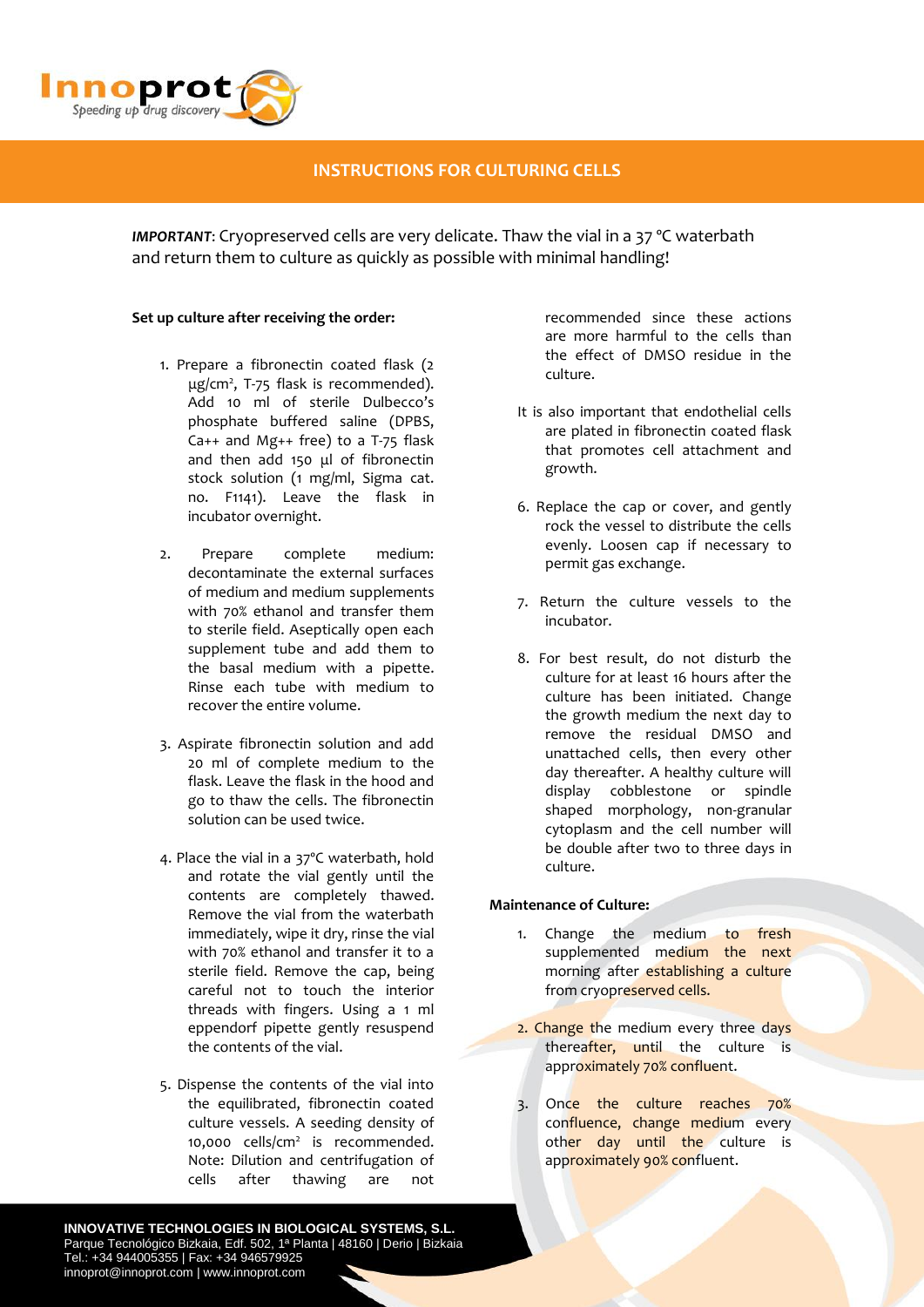

### **INSTRUCTIONS FOR CULTURING CELLS**

*IMPORTANT*: Cryopreserved cells are very delicate. Thaw the vial in a 37 ºC waterbath and return them to culture as quickly as possible with minimal handling!

#### **Set up culture after receiving the order:**

- 1. Prepare a fibronectin coated flask (2 μg/cm<sup>2</sup> , T-75 flask is recommended). Add 10 ml of sterile Dulbecco's phosphate buffered saline (DPBS, Ca++ and Mg++ free) to a T-75 flask and then add 150 μl of fibronectin stock solution (1 mg/ml, Sigma cat. no. F1141). Leave the flask in incubator overnight.
- 2. Prepare complete medium: decontaminate the external surfaces of medium and medium supplements with 70% ethanol and transfer them to sterile field. Aseptically open each supplement tube and add them to the basal medium with a pipette. Rinse each tube with medium to recover the entire volume.
- 3. Aspirate fibronectin solution and add 20 ml of complete medium to the flask. Leave the flask in the hood and go to thaw the cells. The fibronectin solution can be used twice.
- 4. Place the vial in a 37ºC waterbath, hold and rotate the vial gently until the contents are completely thawed. Remove the vial from the waterbath immediately, wipe it dry, rinse the vial with 70% ethanol and transfer it to a sterile field. Remove the cap, being careful not to touch the interior threads with fingers. Using a 1 ml eppendorf pipette gently resuspend the contents of the vial.
- 5. Dispense the contents of the vial into the equilibrated, fibronectin coated culture vessels. A seeding density of 10,000 cells/cm<sup>2</sup> is recommended. Note: Dilution and centrifugation of cells after thawing are not

recommended since these actions are more harmful to the cells than the effect of DMSO residue in the culture.

- It is also important that endothelial cells are plated in fibronectin coated flask that promotes cell attachment and growth.
- 6. Replace the cap or cover, and gently rock the vessel to distribute the cells evenly. Loosen cap if necessary to permit gas exchange.
- 7. Return the culture vessels to the incubator.
- 8. For best result, do not disturb the culture for at least 16 hours after the culture has been initiated. Change the growth medium the next day to remove the residual DMSO and unattached cells, then every other day thereafter. A healthy culture will display cobblestone or spindle shaped morphology, non-granular cytoplasm and the cell number will be double after two to three days in culture.

#### **Maintenance of Culture:**

- 1. Change the medium to fresh supplemented medium the next morning after establishing a culture from cryopreserved cells.
- 2. Change the medium every three days thereafter, until the culture is approximately 70% confluent.
- 3. Once the culture reaches 70% confluence, change medium every other day until the culture is approximately 90% confluent.

**INNOVATIVE TECHNOLOGIES IN BIOLOGICAL SYSTEMS, S.L.** Parque Tecnológico Bizkaia, Edf. 502, 1ª Planta | 48160 | Derio | Bizkaia Tel.: +34 944005355 | Fax: +34 946579925 innoprot@innoprot.com | www.innoprot.com